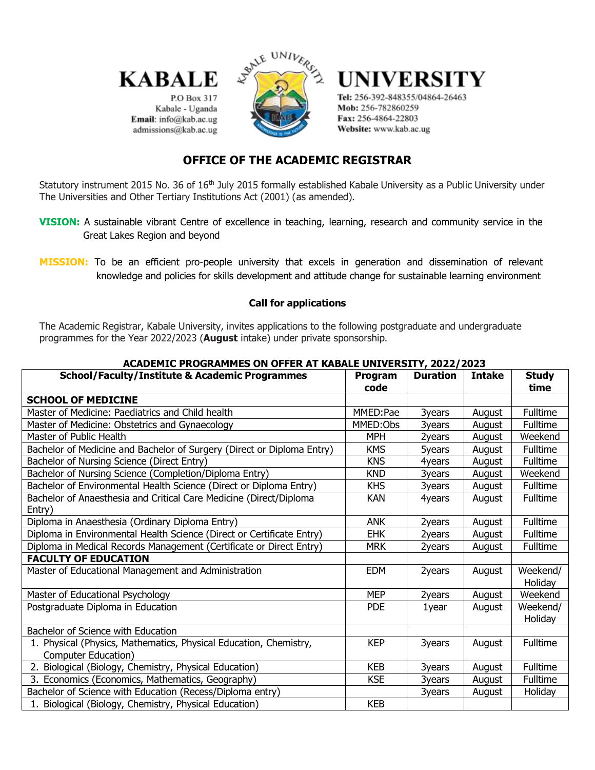

P.O Box 317 Kabale - Uganda Email: info@kab.ac.ug admissions@kab.ac.ug



# UNIVERSITY

Tel: 256-392-848355/04864-26463 Mob: 256-782860259 Fax: 256-4864-22803 Website: www.kab.ac.ug

# **OFFICE OF THE ACADEMIC REGISTRAR**

Statutory instrument 2015 No. 36 of 16<sup>th</sup> July 2015 formally established Kabale University as a Public University under The Universities and Other Tertiary Institutions Act (2001) (as amended).

**VISION:** A sustainable vibrant Centre of excellence in teaching, learning, research and community service in the Great Lakes Region and beyond

# **Call for applications**

The Academic Registrar, Kabale University, invites applications to the following postgraduate and undergraduate programmes for the Year 2022/2023 (**August** intake) under private sponsorship.

| ACADEMIC FROGRAMMES ON OFFER AT RADALE ONIVERSITT, 2022/2023           |            |                 |               |                 |
|------------------------------------------------------------------------|------------|-----------------|---------------|-----------------|
| <b>School/Faculty/Institute &amp; Academic Programmes</b>              | Program    | <b>Duration</b> | <b>Intake</b> | <b>Study</b>    |
|                                                                        | code       |                 |               | time            |
| <b>SCHOOL OF MEDICINE</b>                                              |            |                 |               |                 |
| Master of Medicine: Paediatrics and Child health                       | MMED:Pae   | 3years          | August        | Fulltime        |
| Master of Medicine: Obstetrics and Gynaecology                         | MMED:Obs   | 3years          | August        | Fulltime        |
| Master of Public Health                                                | <b>MPH</b> | 2years          | August        | Weekend         |
| Bachelor of Medicine and Bachelor of Surgery (Direct or Diploma Entry) | <b>KMS</b> | 5years          | August        | Fulltime        |
| Bachelor of Nursing Science (Direct Entry)                             | <b>KNS</b> | 4years          | August        | Fulltime        |
| Bachelor of Nursing Science (Completion/Diploma Entry)                 | <b>KND</b> | 3years          | August        | Weekend         |
| Bachelor of Environmental Health Science (Direct or Diploma Entry)     | <b>KHS</b> | 3years          | August        | Fulltime        |
| Bachelor of Anaesthesia and Critical Care Medicine (Direct/Diploma     | KAN        | 4years          | August        | Fulltime        |
| Entry)                                                                 |            |                 |               |                 |
| Diploma in Anaesthesia (Ordinary Diploma Entry)                        | <b>ANK</b> | 2years          | August        | Fulltime        |
| Diploma in Environmental Health Science (Direct or Certificate Entry)  | <b>EHK</b> | 2years          | August        | Fulltime        |
| Diploma in Medical Records Management (Certificate or Direct Entry)    | <b>MRK</b> | 2years          | August        | Fulltime        |
| <b>FACULTY OF EDUCATION</b>                                            |            |                 |               |                 |
| Master of Educational Management and Administration                    | <b>EDM</b> | 2years          | August        | Weekend/        |
|                                                                        |            |                 |               | Holiday         |
| Master of Educational Psychology                                       | <b>MEP</b> | 2years          | August        | Weekend         |
| Postgraduate Diploma in Education                                      | <b>PDE</b> | 1year           | August        | Weekend/        |
|                                                                        |            |                 |               | Holiday         |
| Bachelor of Science with Education                                     |            |                 |               |                 |
| 1. Physical (Physics, Mathematics, Physical Education, Chemistry,      | <b>KEP</b> | 3years          | August        | Fulltime        |
| Computer Education)                                                    |            |                 |               |                 |
| 2. Biological (Biology, Chemistry, Physical Education)                 | <b>KEB</b> | 3years          | August        | Fulltime        |
| 3. Economics (Economics, Mathematics, Geography)                       | <b>KSE</b> | 3years          | August        | <b>Fulltime</b> |
| Bachelor of Science with Education (Recess/Diploma entry)              |            | 3years          | August        | Holiday         |
| 1. Biological (Biology, Chemistry, Physical Education)                 | <b>KEB</b> |                 |               |                 |

## **ACADEMIC PROGRAMMES ON OFFER AT KABALE UNIVERSITY, 2022/2023**

**MISSION:** To be an efficient pro-people university that excels in generation and dissemination of relevant knowledge and policies for skills development and attitude change for sustainable learning environment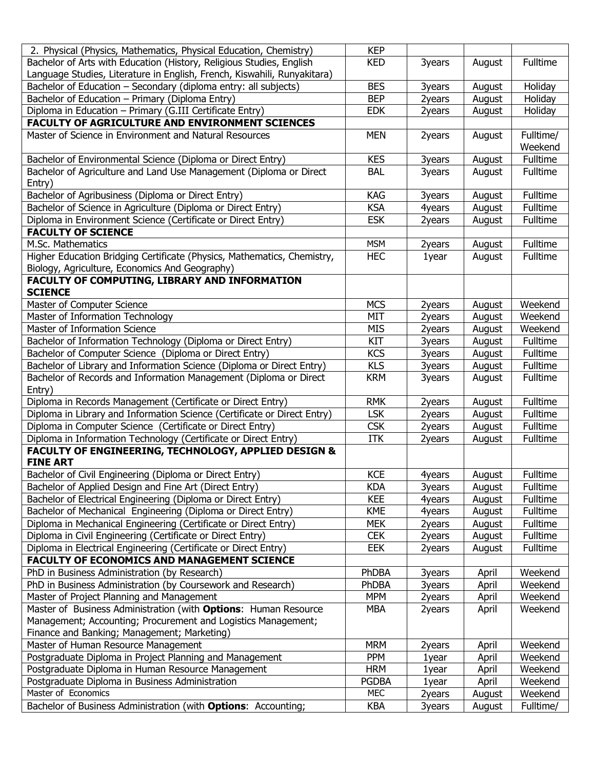| 2. Physical (Physics, Mathematics, Physical Education, Chemistry)                                    | <b>KEP</b>                 |                  |                  |                      |
|------------------------------------------------------------------------------------------------------|----------------------------|------------------|------------------|----------------------|
| Bachelor of Arts with Education (History, Religious Studies, English                                 | <b>KED</b>                 | 3years           | August           | Fulltime             |
| Language Studies, Literature in English, French, Kiswahili, Runyakitara)                             |                            |                  |                  |                      |
| Bachelor of Education - Secondary (diploma entry: all subjects)                                      | <b>BES</b>                 | 3years           | August           | Holiday              |
| Bachelor of Education - Primary (Diploma Entry)                                                      | <b>BEP</b>                 | 2years           | August           | Holiday              |
| Diploma in Education - Primary (G.III Certificate Entry)                                             | <b>EDK</b>                 | 2years           | August           | Holiday              |
| <b>FACULTY OF AGRICULTURE AND ENVIRONMENT SCIENCES</b>                                               |                            |                  |                  |                      |
| Master of Science in Environment and Natural Resources                                               | <b>MEN</b>                 | 2years           | August           | Fulltime/            |
|                                                                                                      |                            |                  |                  | Weekend              |
| Bachelor of Environmental Science (Diploma or Direct Entry)                                          | <b>KES</b>                 | 3years           | August           | Fulltime             |
| Bachelor of Agriculture and Land Use Management (Diploma or Direct                                   | <b>BAL</b>                 | 3years           | August           | Fulltime             |
| Entry)                                                                                               |                            |                  |                  |                      |
| Bachelor of Agribusiness (Diploma or Direct Entry)                                                   | KAG                        | 3years           | August           | Fulltime             |
| Bachelor of Science in Agriculture (Diploma or Direct Entry)                                         | <b>KSA</b>                 | 4years           | August           | Fulltime             |
| Diploma in Environment Science (Certificate or Direct Entry)                                         | <b>ESK</b>                 | 2years           | August           | Fulltime             |
| <b>FACULTY OF SCIENCE</b>                                                                            |                            |                  |                  |                      |
| M.Sc. Mathematics                                                                                    | <b>MSM</b>                 | 2years           | August           | Fulltime             |
| Higher Education Bridging Certificate (Physics, Mathematics, Chemistry,                              | <b>HEC</b>                 | 1year            | August           | Fulltime             |
| Biology, Agriculture, Economics And Geography)                                                       |                            |                  |                  |                      |
| FACULTY OF COMPUTING, LIBRARY AND INFORMATION                                                        |                            |                  |                  |                      |
| <b>SCIENCE</b>                                                                                       |                            |                  |                  |                      |
| Master of Computer Science                                                                           | <b>MCS</b>                 | 2years           | August           | Weekend              |
| Master of Information Technology                                                                     | MIT                        | 2years           | August           | Weekend              |
| Master of Information Science                                                                        | <b>MIS</b>                 | 2years           | August           | Weekend              |
| Bachelor of Information Technology (Diploma or Direct Entry)                                         | <b>KIT</b>                 | 3years           | August           | Fulltime             |
| Bachelor of Computer Science (Diploma or Direct Entry)                                               | <b>KCS</b>                 | 3years           | August           | Fulltime             |
| Bachelor of Library and Information Science (Diploma or Direct Entry)                                | <b>KLS</b>                 | 3years           | August           | Fulltime<br>Fulltime |
| Bachelor of Records and Information Management (Diploma or Direct<br>Entry)                          | <b>KRM</b>                 | 3years           | August           |                      |
| Diploma in Records Management (Certificate or Direct Entry)                                          | <b>RMK</b>                 | 2years           | August           | Fulltime             |
| Diploma in Library and Information Science (Certificate or Direct Entry)                             | <b>LSK</b>                 | 2years           | August           | Fulltime             |
| Diploma in Computer Science (Certificate or Direct Entry)                                            | <b>CSK</b>                 | 2years           | August           | Fulltime             |
| Diploma in Information Technology (Certificate or Direct Entry)                                      | ITK                        | 2years           | August           | Fulltime             |
| <b>FACULTY OF ENGINEERING, TECHNOLOGY, APPLIED DESIGN &amp;</b>                                      |                            |                  |                  |                      |
| <b>FINE ART</b>                                                                                      |                            |                  |                  |                      |
| Bachelor of Civil Engineering (Diploma or Direct Entry)                                              | <b>KCE</b>                 | 4years           | August           | Fulltime             |
| Bachelor of Applied Design and Fine Art (Direct Entry)                                               | <b>KDA</b>                 | 3years           | August           | Fulltime             |
| Bachelor of Electrical Engineering (Diploma or Direct Entry)                                         | <b>KEE</b>                 | 4years           | August           | Fulltime             |
| Bachelor of Mechanical Engineering (Diploma or Direct Entry)                                         | <b>KME</b>                 | 4years           | August           | Fulltime             |
| Diploma in Mechanical Engineering (Certificate or Direct Entry)                                      | <b>MEK</b>                 | 2years           | August           | <b>Fulltime</b>      |
| Diploma in Civil Engineering (Certificate or Direct Entry)                                           | <b>CEK</b>                 | 2years           | August           | Fulltime             |
| Diploma in Electrical Engineering (Certificate or Direct Entry)                                      | EEK                        | 2years           | August           | Fulltime             |
| <b>FACULTY OF ECONOMICS AND MANAGEMENT SCIENCE</b>                                                   |                            |                  |                  |                      |
| PhD in Business Administration (by Research)                                                         | PhDBA                      | 3years           | April            | Weekend              |
| PhD in Business Administration (by Coursework and Research)                                          | PhDBA                      | 3years           | April            | Weekend              |
| Master of Project Planning and Management                                                            | <b>MPM</b>                 | 2years           | April            | Weekend              |
| Master of Business Administration (with Options: Human Resource                                      | <b>MBA</b>                 | 2years           | April            | Weekend              |
| Management; Accounting; Procurement and Logistics Management;                                        |                            |                  |                  |                      |
| Finance and Banking; Management; Marketing)                                                          |                            |                  |                  |                      |
| Master of Human Resource Management                                                                  | <b>MRM</b>                 | 2years           | April            | Weekend              |
| Postgraduate Diploma in Project Planning and Management                                              | <b>PPM</b>                 | 1year            | April            | Weekend              |
| Postgraduate Diploma in Human Resource Management<br>Postgraduate Diploma in Business Administration | <b>HRM</b><br><b>PGDBA</b> | 1year            | April<br>April   | Weekend<br>Weekend   |
| Master of Economics                                                                                  | <b>MEC</b>                 | 1year            |                  | Weekend              |
| Bachelor of Business Administration (with Options: Accounting;                                       | <b>KBA</b>                 | 2years<br>3years | August<br>August | Fulltime/            |
|                                                                                                      |                            |                  |                  |                      |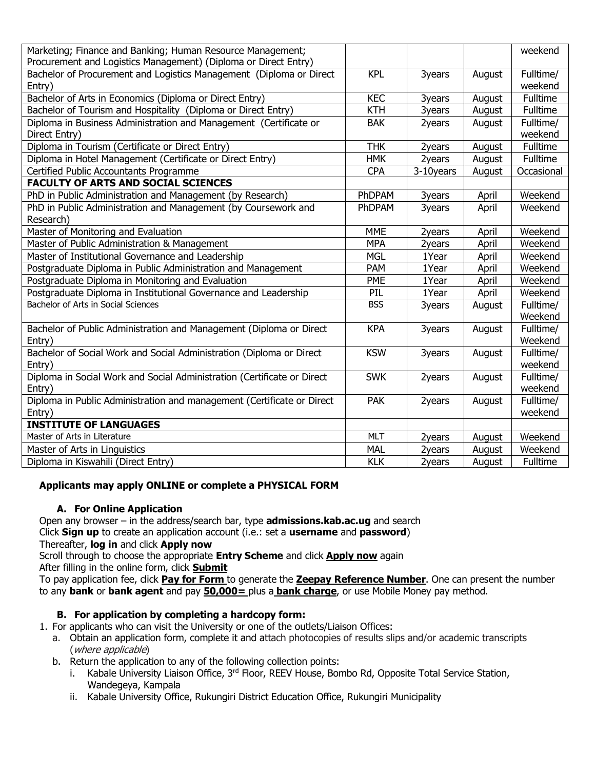| Marketing; Finance and Banking; Human Resource Management;              |            |           |        | weekend    |
|-------------------------------------------------------------------------|------------|-----------|--------|------------|
| Procurement and Logistics Management) (Diploma or Direct Entry)         |            |           |        |            |
| Bachelor of Procurement and Logistics Management (Diploma or Direct     | <b>KPL</b> | 3years    | August | Fulltime/  |
| Entry)                                                                  |            |           |        | weekend    |
| Bachelor of Arts in Economics (Diploma or Direct Entry)                 | <b>KEC</b> | 3years    | August | Fulltime   |
| Bachelor of Tourism and Hospitality (Diploma or Direct Entry)           | <b>KTH</b> | 3years    | August | Fulltime   |
| Diploma in Business Administration and Management (Certificate or       | <b>BAK</b> | 2years    | August | Fulltime/  |
| Direct Entry)                                                           |            |           |        | weekend    |
| Diploma in Tourism (Certificate or Direct Entry)                        | <b>THK</b> | 2years    | August | Fulltime   |
| Diploma in Hotel Management (Certificate or Direct Entry)               | <b>HMK</b> | 2years    | August | Fulltime   |
| Certified Public Accountants Programme                                  | <b>CPA</b> | 3-10years | August | Occasional |
| <b>FACULTY OF ARTS AND SOCIAL SCIENCES</b>                              |            |           |        |            |
| PhD in Public Administration and Management (by Research)               | PhDPAM     | 3years    | April  | Weekend    |
| PhD in Public Administration and Management (by Coursework and          | PhDPAM     | 3years    | April  | Weekend    |
| Research)                                                               |            |           |        |            |
| Master of Monitoring and Evaluation                                     | <b>MME</b> | 2years    | April  | Weekend    |
| Master of Public Administration & Management                            | <b>MPA</b> | 2years    | April  | Weekend    |
| Master of Institutional Governance and Leadership                       | <b>MGL</b> | 1Year     | April  | Weekend    |
| Postgraduate Diploma in Public Administration and Management            | PAM        | 1Year     | April  | Weekend    |
| Postgraduate Diploma in Monitoring and Evaluation                       | PME        | 1Year     | April  | Weekend    |
| Postgraduate Diploma in Institutional Governance and Leadership         | PIL        | 1Year     | April  | Weekend    |
| Bachelor of Arts in Social Sciences                                     | <b>BSS</b> | 3years    | August | Fulltime/  |
|                                                                         |            |           |        | Weekend    |
| Bachelor of Public Administration and Management (Diploma or Direct     | <b>KPA</b> | 3years    | August | Fulltime/  |
| Entry)                                                                  |            |           |        | Weekend    |
| Bachelor of Social Work and Social Administration (Diploma or Direct    | <b>KSW</b> | 3years    | August | Fulltime/  |
| Entry)                                                                  |            |           |        | weekend    |
| Diploma in Social Work and Social Administration (Certificate or Direct | <b>SWK</b> | 2years    | August | Fulltime/  |
| Entry)                                                                  |            |           |        | weekend    |
| Diploma in Public Administration and management (Certificate or Direct  | <b>PAK</b> | 2years    | August | Fulltime/  |
| Entry)                                                                  |            |           |        | weekend    |
| <b>INSTITUTE OF LANGUAGES</b>                                           |            |           |        |            |
| Master of Arts in Literature                                            | <b>MLT</b> | 2years    | August | Weekend    |
| Master of Arts in Linguistics                                           | <b>MAL</b> | 2years    | August | Weekend    |
| Diploma in Kiswahili (Direct Entry)                                     | <b>KLK</b> | 2years    | August | Fulltime   |

# **Applicants may apply ONLINE or complete a PHYSICAL FORM**

#### **A. For Online Application**

Open any browser – in the address/search bar, type **admissions.kab.ac.ug** and search Click **Sign up** to create an application account (i.e.: set a **username** and **password**)

#### Thereafter, **log in** and click **Apply now**

Scroll through to choose the appropriate **Entry Scheme** and click **Apply now** again After filling in the online form, click **Submit**

To pay application fee, click **Pay for Form** to generate the **Zeepay Reference Number**. One can present the number to any **bank** or **bank agent** and pay **50,000=** plus a **bank charge**, or use Mobile Money pay method.

# **B. For application by completing a hardcopy form:**

1. For applicants who can visit the University or one of the outlets/Liaison Offices:

- a. Obtain an application form, complete it and attach photocopies of results slips and/or academic transcripts (where applicable)
- b. Return the application to any of the following collection points:
	- i. Kabale University Liaison Office, 3<sup>rd</sup> Floor, REEV House, Bombo Rd, Opposite Total Service Station, Wandegeya, Kampala
	- ii. Kabale University Office, Rukungiri District Education Office, Rukungiri Municipality